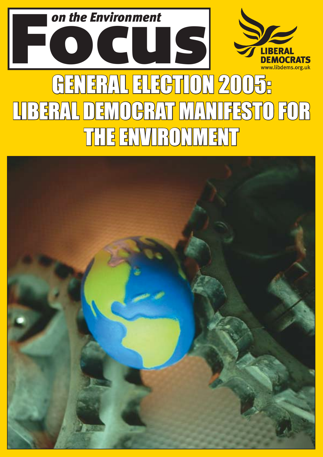

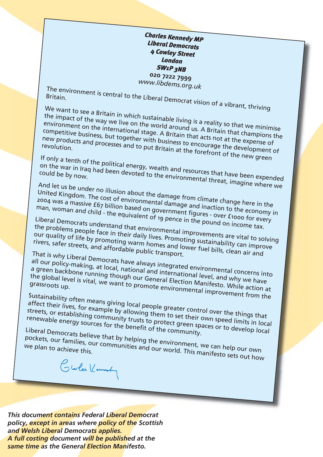*Charles Kennedy MP Liberal Democrats 4 Cowley Street London SW1P 3NB* **020 7222 7999**

*www.libdems.org.uk*

The environment is central to the Liberal Democrat vision of a vibrant, thriving<br>Britain.<br>We want to see a B is a Britain.

We want to see a Britain in which sustainable living is a reality so that we minimise the impact of the way we live on the world around us. A Britain that champions the environment on the international stage. A Britain that acts not at the expense of<br>rew products and processes and to put Britain at the courage the development of<br>revolution competitive business, but together with business to encourage the development of<br>new products and processes and to put Britain at the forefront of the development of<br>revolution. new products and processes and to put Britain at the forefront of the new green

If only a tenth of the political energy, wealth and resources that have been expended<br>on the war in Iraq had been devoted to the environmental threat in the expended on the war in Iraq had been devoted to the environmental threat, imagine where we<br>could be by now.

And let us be under no illusion about the damage from climate change here in the United Kingdom. The cost of environmental damage and inaction to the economy in

2004 was a massive £67 billion based on government figures - over £1000 for every man, woman and child - the equivalent of 19 pence in the pound on income tax.

Liberal Democrats understand that environmental improvements are victor of every<br>the problems people face in their daily lives. Promoting sustainability as it to solving<br>our quality of life by promoting warm best. Promotin the problems people face our quality of life by promoting warm homes and lower fuel bills, safer streets, and affordable public transport.<br>Fivers, safer streets, and affordable public transport.<br>That is why Liberal P the problems people face in their daily lives. Promoting sustainability can improve<br>our quality of life by promoting warm homes and lower fuel bills, clean air and<br>rivers, safer streets, and affordable public transport

That is why Liberal Democr

all our policy-making, at local, nave always integrated environmental concerns into<br>a green backbone running though and and international level and informental concerns into a green backbone running though our General international level, and why we have<br>the global level is vital, we want to promote environmental impressions up.<br>grassroots up. all our policy-making, at local, national and international level, and why we have<br>a green backbone running though our General Election Manifesto. While action at<br>the global level is vital, we want to promote environmental

Sustainability often means giving local people greater control over the things that<br>affect their lives, for example by allowing them to set their own speed limits in loca<br>streets, or establishing community trusts to protec affect their lives, for example by allowing them to set their own speed limits in local streets, or establishing community trusts to preater control over the things that<br>renewable energy sources for the benefit of the community.<br>Liberal Democrats believe that the benefit of the community.

Liberal Democrats believe that by helping the community.<br>Pockets, our families, our communities and our world. This maniforted by we plan to achieve this.

pockets, our families, our communities and our world. This manifesto sets out how<br>we plan to achieve this.<br>Charles Kennedy

*This document contains Federal Liberal Democrat policy, except in areas where policy of the Scottish and Welsh Liberal Democrats applies. A full costing document will be published at the same time as the General Election Manifesto.*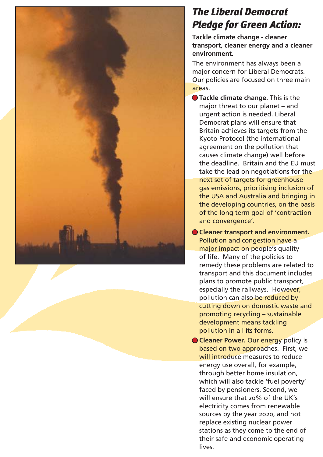

# *The Liberal Democrat Pledge for Green Action:*

**Tackle climate change - cleaner transport, cleaner energy and a cleaner environment.**

The environment has always been a major concern for Liberal Democrats. Our policies are focused on three main areas.

- **Tackle climate change.** This is the major threat to our planet  $-$  and urgent action is needed. Liberal Democrat plans will ensure that Britain achieves its targets from the Kyoto Protocol (the international agreement on the pollution that causes climate change) well before the deadline. Britain and the EU must take the lead on negotiations for the next set of targets for greenhouse gas emissions, prioritising inclusion of the USA and Australia and bringing in the developing countries, on the basis of the long term goal of 'contraction and convergence'.
- **Cleaner transport and environment.**  Pollution and congestion have a major impact on people's quality of life. Many of the policies to remedy these problems are related to transport and this document includes plans to promote public transport, especially the railways. However, pollution can also be reduced by cutting down on domestic waste and promoting recycling  $-$  sustainable development means tackling pollution in all its forms.
- **Cleaner Power.** Our energy policy is based on two approaches. First, we will introduce measures to reduce energy use overall, for example, through better home insulation, which will also tackle 'fuel poverty' faced by pensioners. Second, we will ensure that 20% of the UK's electricity comes from renewable sources by the year 2020, and not replace existing nuclear power stations as they come to the end of their safe and economic operating lives.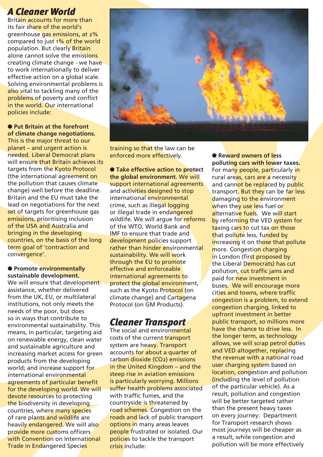### *A Cleaner World*

Britain accounts for more than its fair share of the world's greenhouse gas emissions, at 2% compared to just 1% of the world population. But clearly Britain alone cannot solve the emissions creating climate change - we have to work internationally to deliver effective action on a global scale. Solving environmental problems is also vital to tackling many of the problems of poverty and conflict in the world. Our international policies include:

● Put Britain at the forefront **of climate change negotiations.**  This is the major threat to our  $planet - and urgent action is$ needed. Liberal Democrat plans will ensure that Britain achieves its targets from the Kyoto Protocol (the international agreement on the pollution that causes climate change) well before the deadline. Britain and the EU must take the lead on negotiations for the next set of targets for greenhouse gas emissions, prioritising inclusion of the USA and Australia and bringing in the developing countries, on the basis of the long term goal of 'contraction and convergence'.

#### ● **Promote environmentally sustainable development.**

We will ensure that development assistance, whether delivered from the UK, EU, or multilateral institutions, not only meets the needs of the poor, but does so in ways that contribute to environmental sustainability. This means, in particular, targeting aid on renewable energy, clean water and sustainable agriculture and increasing market access for green products from the developing world; and increase support for international environmental agreements of particular benefit for the developing world. We will devote resources to protecting the biodiversity in developing countries, where many species of rare plants and wildlife are heavily endangered. We will also provide more customs officers with Convention on International Trade in Endangered Species



training so that the law can be enforced more effectively.

● **Take effective action to protect the global environment.** We will support international agreements and activities designed to stop international environmental crime, such as illegal logging or illegal trade in endangered wildlife. We will arque for reforms of the WTO, World Bank and IMF to ensure that trade and development policies support rather than hinder environmental sustainability. We will work through the EU to promote effective and enforceable international agreements to protect the global environment, such as the Kyoto Protocol (on climate change) and Cartagena Protocol (on GM Products).

## *Cleaner Transport*

The social and environmental costs of the current transport system are heavy. Transport accounts for about a quarter of carbon dioxide (CO2) emissions in the United Kingdom  $-$  and the steep rise in aviation emissions is particularly worrying. Millions suffer health problems associated with traffic fumes, and the countryside is threatened by road schemes. Congestion on the roads and lack of public transport options in many areas leaves people frustrated or isolated. Our policies to tackle the transport crisis include:

● **Reward owners of less polluting cars with lower taxes.**  For many people, particularly in rural areas, cars are a necessity and cannot be replaced by public transport. But they can be far less damaging to the environment when they use less fuel or alternative fuels. We will start by reforming the VED system for taxing cars to cut tax on those that pollute less, funded by increasing it on those that pollute more. Congestion charging in London (first proposed by the Liberal Democrats) has cut pollution, cut traffic jams and paid for new investment in buses. We will encourage more cities and towns, where traffic congestion is a problem, to extend congestion charging, linked to upfront investment in better public transport, so millions more have the chance to drive less. In the longer term, as technology allows, we will scrap petrol duties and VED altogether, replacing the revenue with a national road user charging system based on location, congestion and pollution (including the level of pollution of the particular vehicle). As a result, pollution and congestion will be better targeted rather than the present heavy taxes on every journey: Department for Transport research shows most journeys will be cheaper as a result, while congestion and pollution will be more effectively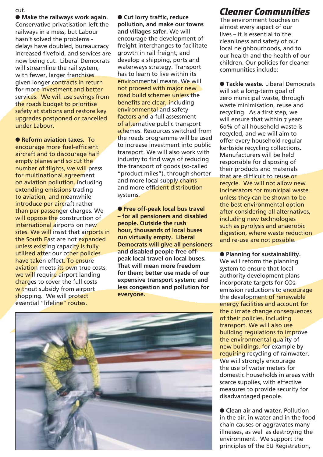cut.

● **Make the railways work again.** Conservative privatisation left the railways in a mess, but Labour hasn't solved the problems delays have doubled, bureaucracy increased fivefold, and services are now being cut. Liberal Democrats will streamline the rail system, with fewer, larger franchises given longer contracts in return for more investment and better services. We will use savings from the roads budget to prioritise safety at stations and restore key upgrades postponed or cancelled under Labour.

● **Reform aviation taxes.** To encourage more fuel-efficient aircraft and to discourage half empty planes and so cut the number of flights, we will press for multinational agreement on aviation pollution, including extending emissions trading to aviation, and meanwhile introduce per aircraft rather than per passenger charges. We will oppose the construction of international airports on new sites. We will insist that airports in the South East are not expanded unless existing capacity is fully utilised after our other policies have taken effect. To ensure aviation meets its own true costs, we will require airport landing charges to cover the full costs without subsidy from airport shopping. We will protect essential "lifeline" routes.

● Cut lorry traffic, reduce **pollution, and make our towns and villages safer.** We will encourage the development of freight interchanges to facilitate growth in rail freight, and develop a shipping, ports and waterways strategy. Transport has to learn to live within its environmental means. We will not proceed with major new road build schemes unless the benefits are clear, including environmental and safety factors and a full assessment of alternative public transport schemes. Resources switched from the roads programme will be used to increase investment into public transport. We will also work with industry to find ways of reducing the transport of goods (so-called "product miles"), through shorter and more local supply chains and more efficient distribution systems.

● **Free off-peak local bus travel ñ for all pensioners and disabled people. Outside the rush hour, thousands of local buses run virtually empty. Liberal Democrats will give all pensioners and disabled people free offpeak local travel on local buses. That will mean more freedom for them; better use made of our expensive transport system; and less congestion and pollution for everyone.** 



## *Cleaner Communities*

The environment touches on almost every aspect of our lives  $-$  it is essential to the cleanliness and safety of our local neighbourhoods, and to our health and the health of our children. Our policies for cleaner communities include:

● **Tackle waste.** Liberal Democrats will set a long-term goal of zero municipal waste, through waste minimisation, reuse and recycling. As a first step, we will ensure that within 7 years 60% of all household waste is recycled, and we will aim to offer every household regular kerbside recycling collections. Manufacturers will be held responsible for disposing of their products and materials that are difficult to reuse or recycle. We will not allow new incinerators for municipal waste unless they can be shown to be the best environmental option after considering all alternatives, including new technologies such as pyrolysis and anaerobic digestion, where waste reduction and re-use are not possible.

● **Planning for sustainability.** We will reform the planning system to ensure that local authority development plans incorporate targets for CO2 emission reductions to encourage the development of renewable energy facilities and account for the climate change consequences of their policies, including transport. We will also use building regulations to improve

the environmental quality of new buildings, for example by requiring recycling of rainwater. We will strongly encourage the use of water meters for domestic households in areas with scarce supplies, with effective measures to provide security for disadvantaged people.

● **Clean air and water.** Pollution in the air, in water and in the food chain causes or aggravates many illnesses, as well as destroying the environment. We support the principles of the EU Registration,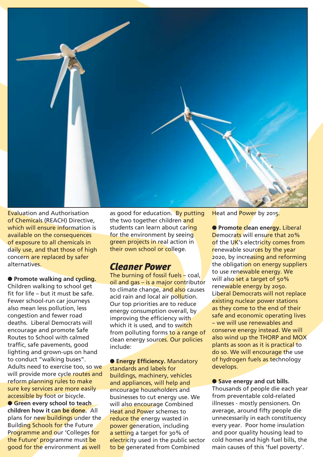

Evaluation and Authorisation of Chemicals (REACH) Directive, which will ensure information is available on the consequences of exposure to all chemicals in daily use, and that those of high concern are replaced by safer alternatives.

● **Promote walking and cycling.** Children walking to school get

fit for life  $-$  but it must be safe. Fewer school-run car journeys also mean less pollution, less congestion and fewer road deaths. Liberal Democrats will encourage and promote Safe Routes to School with calmed traffic, safe pavements, good lighting and grown-ups on hand to conduct "walking buses". Adults need to exercise too, so we will provide more cycle routes and reform planning rules to make sure key services are more easily accessible by foot or bicycle.

**• Green every school to teach children how it can be done.** All plans for new buildings under the Building Schools for the Future Programme and our 'Colleges for the Future' programme must be good for the environment as well

as good for education. By putting the two together children and students can learn about caring for the environment by seeing green projects in real action in their own school or college.

### *Cleaner Power*

The burning of fossil fuels  $-$  coal, oil and gas  $-$  is a major contributor to climate change, and also causes acid rain and local air pollution. Our top priorities are to reduce energy consumption overall, by improving the efficiency with which it is used, and to switch from polluting forms to a range of clean energy sources. Our policies include:

● **Energy Effi ciency.** Mandatory standards and labels for buildings, machinery, vehicles and appliances, will help and encourage householders and businesses to cut energy use. We will also encourage Combined Heat and Power schemes to reduce the energy wasted in power generation, including a setting a target for 30% of electricity used in the public sector to be generated from Combined

Heat and Power by 2015.

● **Promote clean energy. Liberal** Democrats will ensure that 20% of the UK's electricity comes from renewable sources by the year 2020, by increasing and reforming the obligation on energy suppliers to use renewable energy. We will also set a target of 50% renewable energy by 2050. Liberal Democrats will not replace existing nuclear power stations as they come to the end of their safe and economic operating lives - we will use renewables and conserve energy instead. We will also wind up the THORP and MOX plants as soon as it is practical to do so. We will encourage the use of hydrogen fuels as technology develops.

● Save energy and cut bills. Thousands of people die each year from preventable cold-related illnesses - mostly pensioners. On average, around fifty people die unnecessarily in each constituency every year. Poor home insulation and poor quality housing lead to cold homes and high fuel bills, the main causes of this 'fuel poverty'.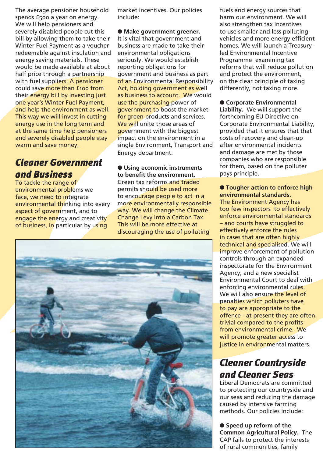The average pensioner household spends £500 a year on energy. We will help pensioners and severely disabled people cut this bill by allowing them to take their Winter Fuel Payment as a voucher redeemable against insulation and energy saving materials. These would be made available at about half price through a partnership with fuel suppliers. A pensioner could save more than £100 from their energy bill by investing just one year's Winter Fuel Payment, and help the environment as well. This way we will invest in cutting energy use in the long term and at the same time help pensioners and severely disabled people stay warm and save money.

## *Cleaner Government and Business*

To tackle the range of environmental problems we face, we need to integrate environmental thinking into every aspect of government, and to engage the energy and creativity of business, in particular by using

market incentives. Our policies include:

● **Make government greener.**  It is vital that government and business are made to take their environmental obligations seriously. We would establish reporting obligations for government and business as part of an Environmental Responsibility Act, holding government as well as business to account. We would use the purchasing power of government to boost the market for green products and services. We will unite those areas of government with the biggest impact on the environment in a single Environment, Transport and Energy department.

#### ● **Using economic instruments**  to benefit the environment.

Green tax reforms and traded permits should be used more to encourage people to act in a more environmentally responsible way. We will change the Climate Change Levy into a Carbon Tax. This will be more effective at discouraging the use of polluting



fuels and energy sources that harm our environment. We will also strengthen tax incentives to use smaller and less polluting vehicles and more energy efficient homes. We will launch a Treasuryled Environmental Incentive Programme examining tax reforms that will reduce pollution and protect the environment, on the clear principle of taxing differently, not taxing more.

#### ● **Corporate Environmental**

**Liability.** We will support the forthcoming EU Directive on Corporate Environmental Liability, provided that it ensures that that costs of recovery and clean-up after environmental incidents and damage are met by those companies who are responsible for them, based on the polluter pays principle.

#### ● **Tougher action to enforce high environmental standards.**

The Environment Agency has too few inspectors to effectively enforce environmental standards - and courts have struggled to effectively enforce the rules in cases that are often highly technical and specialised. We will improve enforcement of pollution controls through an expanded inspectorate for the Environment Agency, and a new specialist Environmental Court to deal with enforcing environmental rules. We will also ensure the level of penalties which polluters have to pay are appropriate to the offence - at present they are often trivial compared to the profits from environmental crime. We will promote greater access to justice in environmental matters.

## *Cleaner Countryside and Cleaner Seas*

Liberal Democrats are committed to protecting our countryside and our seas and reducing the damage caused by intensive farming methods. Our policies include:

● **Speed up reform of the Common Agricultural Policy.** The CAP fails to protect the interests of rural communities, family